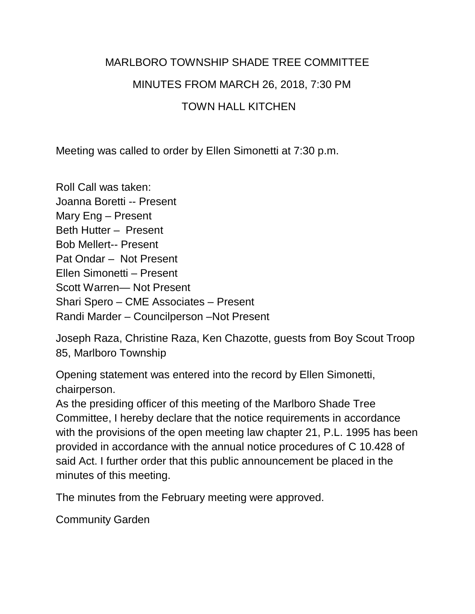### MARLBORO TOWNSHIP SHADE TREE COMMITTEE

### MINUTES FROM MARCH 26, 2018, 7:30 PM

### TOWN HALL KITCHEN

Meeting was called to order by Ellen Simonetti at 7:30 p.m.

Roll Call was taken: Joanna Boretti -- Present Mary Eng – Present Beth Hutter – Present Bob Mellert-- Present Pat Ondar – Not Present Ellen Simonetti – Present Scott Warren— Not Present Shari Spero – CME Associates – Present Randi Marder – Councilperson –Not Present

Joseph Raza, Christine Raza, Ken Chazotte, guests from Boy Scout Troop 85, Marlboro Township

Opening statement was entered into the record by Ellen Simonetti, chairperson.

As the presiding officer of this meeting of the Marlboro Shade Tree Committee, I hereby declare that the notice requirements in accordance with the provisions of the open meeting law chapter 21, P.L. 1995 has been provided in accordance with the annual notice procedures of C 10.428 of said Act. I further order that this public announcement be placed in the minutes of this meeting.

The minutes from the February meeting were approved.

Community Garden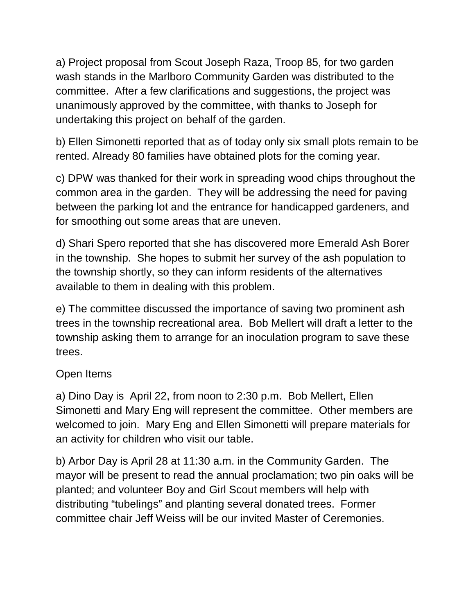a) Project proposal from Scout Joseph Raza, Troop 85, for two garden wash stands in the Marlboro Community Garden was distributed to the committee. After a few clarifications and suggestions, the project was unanimously approved by the committee, with thanks to Joseph for undertaking this project on behalf of the garden.

b) Ellen Simonetti reported that as of today only six small plots remain to be rented. Already 80 families have obtained plots for the coming year.

c) DPW was thanked for their work in spreading wood chips throughout the common area in the garden. They will be addressing the need for paving between the parking lot and the entrance for handicapped gardeners, and for smoothing out some areas that are uneven.

d) Shari Spero reported that she has discovered more Emerald Ash Borer in the township. She hopes to submit her survey of the ash population to the township shortly, so they can inform residents of the alternatives available to them in dealing with this problem.

e) The committee discussed the importance of saving two prominent ash trees in the township recreational area. Bob Mellert will draft a letter to the township asking them to arrange for an inoculation program to save these trees.

## Open Items

a) Dino Day is April 22, from noon to 2:30 p.m. Bob Mellert, Ellen Simonetti and Mary Eng will represent the committee. Other members are welcomed to join. Mary Eng and Ellen Simonetti will prepare materials for an activity for children who visit our table.

b) Arbor Day is April 28 at 11:30 a.m. in the Community Garden. The mayor will be present to read the annual proclamation; two pin oaks will be planted; and volunteer Boy and Girl Scout members will help with distributing "tubelings" and planting several donated trees. Former committee chair Jeff Weiss will be our invited Master of Ceremonies.